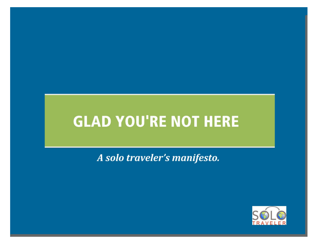A solo traveler's manifesto.

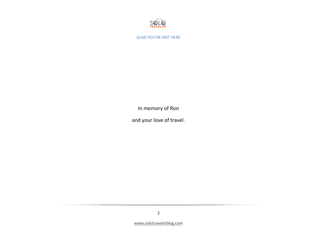

In memory of Ron

and your love of travel.

2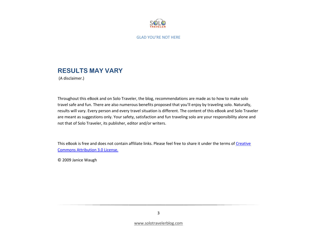

### **RESULTS MAY VARY**

(A disclaimer.)

Throughout this eBook and on Solo Traveler, the blog, recommendations are made as to how to make solo travel safe and fun. There are also numerous benefits proposed that you'll enjoy by traveling solo. Naturally, results will vary. Every person and every travel situation is different. The content of this eBook and Solo Traveler are meant as suggestions only. Your safety, satisfaction and fun traveling solo are your responsibility alone and not that of Solo Traveler, its publisher, editor and/or writers.

This eBook is free and does not contain affiliate links. Please feel free to share it under the terms of Creative Commons Attribution 3.0 License.

© 2009 Janice Waugh

3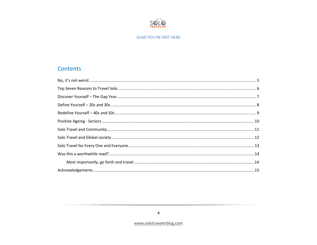

### Contents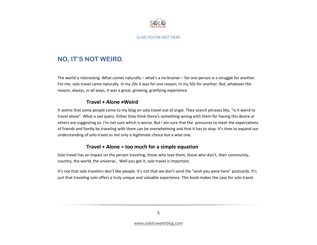

### **NO, IT'S NOT WEIRD.**

The world is interesting. What comes naturally – what's a no-brainer – for one person is a struggle for another. For me, solo travel came naturally. In my 20s it was for one reason, in my 50s for another. But, whatever the reason, always, in all ways, it was a great, growing, gratifying experience.

### Travel + Alone ≠Weird

It seems that some people come to my blog on solo travel out of angst. They search phrases like, "is it weird to travel alone". What a sad query. Either they think there's something wrong with them for having this desire or others are suggesting so. I'm not sure which is worse. But I am sure that the pressures to meet the expectations of friends and family by traveling with them can be overwhelming and that it has to stop. It's time to expand our understanding of solo travel as not only a legitimate choice but a wise one.

### Travel + Alone = too much for a simple equation

Solo travel has an impact on the person traveling, those who love them, those who don't, their community, country, the world, the universe… Well you get it, solo travel is important.

It's not that solo travelers don't like people. It's not that we don't send the "wish you were here" postcards. It's just that traveling solo offers a truly unique and valuable experience. This book makes the case for solo travel.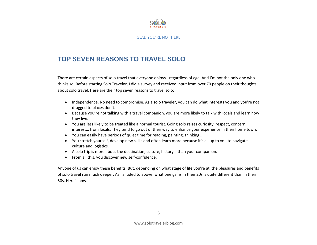

### **TOP SEVEN REASONS TO TRAVEL SOLO**

There are certain aspects of solo travel that everyone enjoys - regardless of age. And I'm not the only one who thinks so. Before starting Solo Traveler, I did a survey and received input from over 70 people on their thoughts about solo travel. Here are their top seven reasons to travel solo:

- Independence. No need to compromise. As a solo traveler, you can do what interests you and you're not dragged to places don't.
- Because you're not talking with a travel companion, you are more likely to talk with locals and learn how they live.
- You are less likely to be treated like a normal tourist. Going solo raises curiosity, respect, concern, interest… from locals. They tend to go out of their way to enhance your experience in their home town.
- You can easily have periods of quiet time for reading, painting, thinking…
- You stretch yourself, develop new skills and often learn more because it's all up to you to navigate culture and logistics.
- A solo trip is more about the destination, culture, history… than your companion.
- From all this, you discover new self-confidence.

Anyone of us can enjoy these benefits. But, depending on what stage of life you're at, the pleasures and benefits of solo travel run much deeper. As I alluded to above, what one gains in their 20s is quite different than in their 50s. Here's how.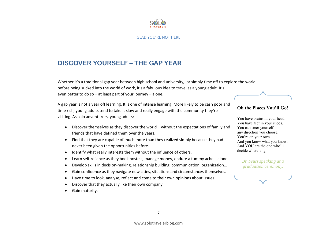

### **DISCOVER YOURSELF – THE GAP YEAR**

Whether it's a traditional gap year between high school and university, or simply time off to explore the world before being sucked into the world of work, it's a fabulous idea to travel as a young adult. It's even better to do so  $-$  at least part of your journey  $-$  alone.

A gap year is not a year off learning. It is one of intense learning. More likely to be cash poor and time rich, young adults tend to take it slow and really engage with the community they're visiting. As solo adventurers, young adults:

- Discover themselves as they discover the world without the expectations of family and friends that have defined them over the years.
- Find that they are capable of much more than they realized simply because they had never been given the opportunities before.
- •Identify what really interests them without the influence of others.
- •Learn self-reliance as they book hostels, manage money, endure a tummy ache… alone.
- •Develop skills in decision-making, relationship building, communication, organization…
- •Gain confidence as they navigate new cities, situations and circumstances themselves.
- •Have time to look, analyse, reflect and come to their own opinions about issues.
- •Discover that they actually like their own company.
- •Gain maturity.

## Oh the Places You'll Go!

You have brains in your head. You have feet in your shoes. You can steer yourself any direction you choose. You're on your own. And you know what you know. And YOU are the one who'll decide where to go.

> Dr. Seuss speaking at a graduation ceremony.



www.solotravelerblog.com

7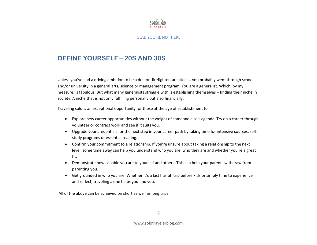

### **DEFINE YOURSELF – 20S AND 30S**

Unless you've had a driving ambition to be a doctor, firefighter, architect... you probably went through school and/or university in a general arts, science or management program. You are a generalist. Which, by my measure, is fabulous. But what many generalists struggle with is establishing themselves – finding their niche in society. A niche that is not only fulfilling personally but also financially.

Traveling solo is an exceptional opportunity for those at the age of establishment to:

- Explore new career opportunities without the weight of someone else's agenda. Try on a career through volunteer or contract work and see if it suits you.
- Upgrade your credentials for the next step in your career path by taking time for intensive courses, selfstudy programs or essential reading.
- Confirm your commitment to a relationship. If you're unsure about taking a relationship to the next level, some time away can help you understand who you are, who they are and whether you're a great fit.
- Demonstrate how capable you are to yourself and others. This can help your parents withdraw from parenting you.
- Get grounded in who you are. Whether it's a last hurrah trip before kids or simply time to experience and reflect, traveling alone helps you find you.

All of the above can be achieved on short as well as long trips.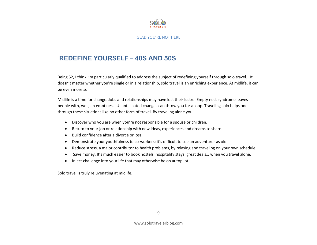

### **REDEFINE YOURSELF – 40S AND 50S**

Being 52, I think I'm particularly qualified to address the subject of redefining yourself through solo travel. It doesn't matter whether you're single or in a relationship, solo travel is an enriching experience. At midlife, it can be even more so.

Midlife is a time for change. Jobs and relationships may have lost their lustre. Empty nest syndrome leaves people with, well, an emptiness. Unanticipated changes can throw you for a loop. Traveling solo helps one through these situations like no other form of travel. By traveling alone you:

- •Discover who you are when you're not responsible for a spouse or children.
- •Return to your job or relationship with new ideas, experiences and dreams to share.
- •Build confidence after a divorce or loss.
- •Demonstrate your youthfulness to co-workers; it's difficult to see an adventurer as old.
- •Reduce stress, a major contributor to health problems, by relaxing and traveling on your own schedule.
- Save money. It's much easier to book hostels, hospitality stays, great deals… when you travel alone.
- •Inject challenge into your life that may otherwise be on autopilot.

Solo travel is truly rejuvenating at midlife.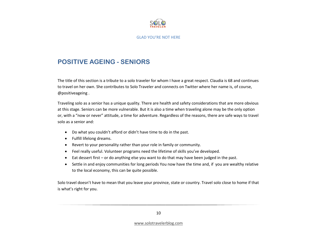

### **POSITIVE AGEING - SENIORS**

The title of this section is a tribute to a solo traveler for whom I have a great respect. Claudia is 68 and continues to travel on her own. She contributes to Solo Traveler and connects on Twitter where her name is, of course, @positiveageing .

Traveling solo as a senior has a unique quality. There are health and safety considerations that are more obvious at this stage. Seniors can be more vulnerable. But it is also a time when traveling alone may be the only option or, with a "now or never" attitude, a time for adventure. Regardless of the reasons, there are safe ways to travel solo as a senior and:

- Do what you couldn't afford or didn't have time to do in the past.
- Fulfill lifelong dreams.
- Revert to your personality rather than your role in family or community.
- Feel really useful. Volunteer programs need the lifetime of skills you've developed.
- Eat dessert first or do anything else you want to do that may have been judged in the past.
- Settle in and enjoy communities for long periods You now have the time and, if you are wealthy relative to the local economy, this can be quite possible.

Solo travel doesn't have to mean that you leave your province, state or country. Travel solo close to home if that is what's right for you.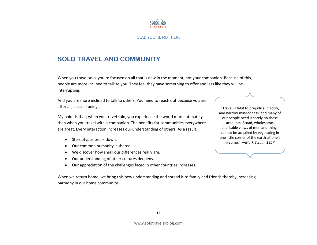

### **SOLO TRAVEL AND COMMUNITY**

When you travel solo, you're focused on all that is new in the moment, not your companion. Because of this, people are more inclined to talk to you. They feel they have something to offer and less like they will be interrupting.

And you are more inclined to talk to others. You need to reach out because you are, after all, a social being.

My point is that, when you travel solo, you experience the world more intimately than when you travel with a companion. The benefits for communities everywhere are great. Every interaction increases our understanding of others. As a result:

- •Stereotypes break down.
- •Our common humanity is shared.
- •We discover how small our differences really are.
- •Our understanding of other cultures deepens.
- $\bullet$ Our appreciation of the challenges faced in other countries increases.

When we return home, we bring this new understanding and spread it to family and friends thereby increasing harmony in our home community.

"Travel is fatal to prejudice, bigotry, and narrow-mindedness, and many of our people need it sorely on these accounts. Broad, wholesome, charitable views of men and things cannot be acquired by vegetating in one little corner of the earth all one's lifetime." —Mark Twain, 1857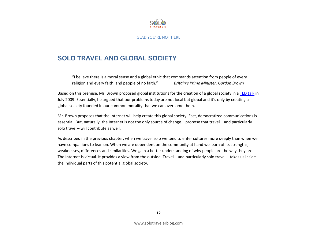

### **SOLO TRAVEL AND GLOBAL SOCIETY**

"I believe there is a moral sense and a global ethic that commands attention from people of every religion and every faith, and people of no faith." Britain's Prime Minister, Gordon Brown

Based on this premise, Mr. Brown proposed global institutions for the creation of a global society in a <mark>TED talk</mark> in July 2009. Essentially, he argued that our problems today are not local but global and it's only by creating a global society founded in our common morality that we can overcome them.

Mr. Brown proposes that the Internet will help create this global society. Fast, democratized communications is essential. But, naturally, the Internet is not the only source of change. I propose that travel – and particularly solo travel – will contribute as well.

As described in the previous chapter, when we travel solo we tend to enter cultures more deeply than when we have companions to lean on. When we are dependent on the community at hand we learn of its strengths, weaknesses, differences and similarities. We gain a better understanding of why people are the way they are. The Internet is virtual. It provides a view from the outside. Travel – and particularly solo travel – takes us inside the individual parts of this potential global society.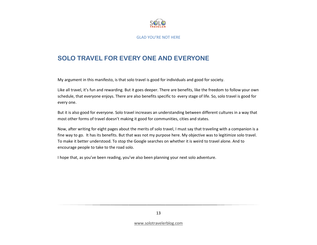

### **SOLO TRAVEL FOR EVERY ONE AND EVERYONE**

My argument in this manifesto, is that solo travel is good for individuals and good for society.

Like all travel, it's fun and rewarding. But it goes deeper. There are benefits, like the freedom to follow your own schedule, that everyone enjoys. There are also benefits specific to every stage of life. So, solo travel is good for every one.

But it is also good for everyone. Solo travel increases an understanding between different cultures in a way that most other forms of travel doesn't making it good for communities, cities and states.

Now, after writing for eight pages about the merits of solo travel, I must say that traveling with a companion is a fine way to go. It has its benefits. But that was not my purpose here. My objective was to legitimize solo travel. To make it better understood. To stop the Google searches on whether it is weird to travel alone. And to encourage people to take to the road solo.

I hope that, as you've been reading, you've also been planning your next solo adventure.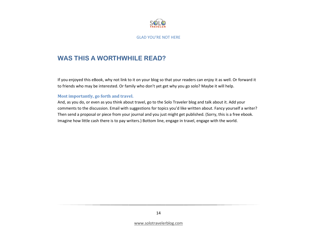

### **WAS THIS A WORTHWHILE READ?**

If you enjoyed this eBook, why not link to it on your blog so that your readers can enjoy it as well. Or forward it to friends who may be interested. Or family who don't yet get why you go solo? Maybe it will help.

#### Most importantly, go forth and travel.

And, as you do, or even as you think about travel, go to the Solo Traveler blog and talk about it. Add your comments to the discussion. Email with suggestions for topics you'd like written about. Fancy yourself a writer? Then send a proposal or piece from your journal and you just might get published. (Sorry, this is a free ebook. Imagine how little cash there is to pay writers.) Bottom line, engage in travel, engage with the world.